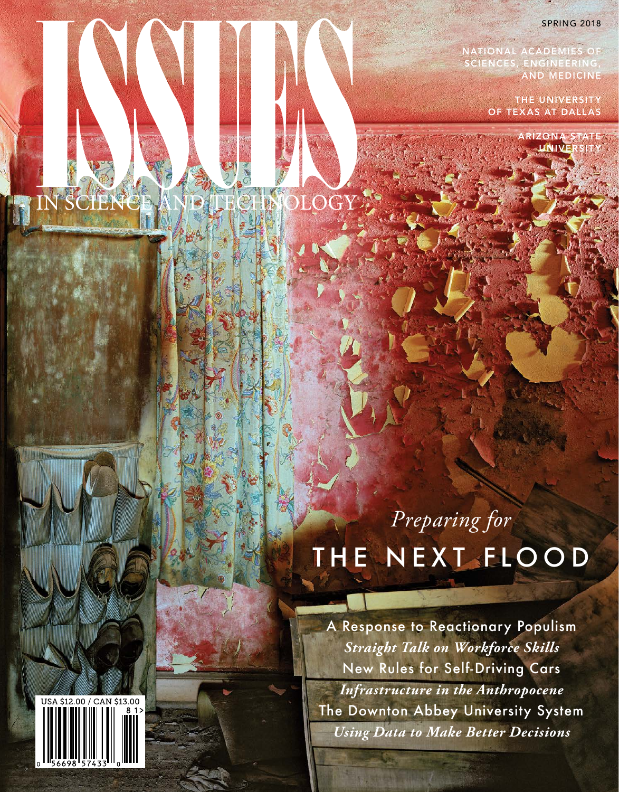### SPRING 2018

**NATIONAL ACADEMIES OF SCIENCES, ENGINEERING, AND MEDICINE**

> **THE UNIVERSITY OF TEXAS AT DALLAS**

> > **IZON UNIVERSITY**

## *Preparing for* THE NEXT FLOOD

A Response to Reactionary Populism *Straight Talk on Workforce Skills* New Rules for Self-Driving Cars *Infrastructure in the Anthropocene*  The Downton Abbey University System *Using Data to Make Better Decisions*

HAMMELIAT



IN SCIENCE AND TECHNOLOGY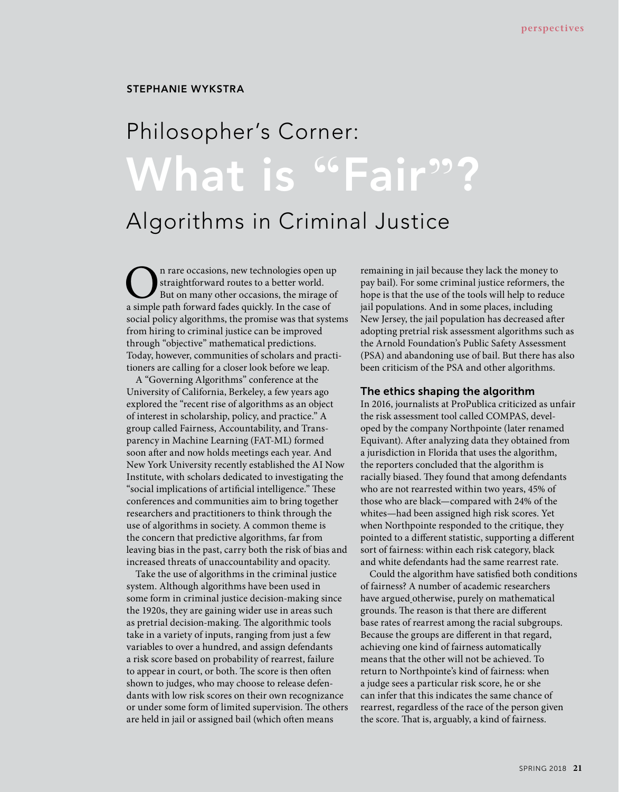### **STEPHANIE WYKSTRA**

# **What is "Fair"?** Philosopher's Corner:

### Algorithms in Criminal Justice

On rare occasions, new technologies open up straightforward routes to a better world. But on many other occasions, the mirage of a simple path forward fades quickly. In the case of social policy algorithms, the promise was that systems from hiring to criminal justice can be improved through "objective" mathematical predictions. Today, however, communities of scholars and practitioners are calling for a closer look before we leap.

A "Governing Algorithms" conference at the University of California, Berkeley, a few years ago explored the "recent rise of algorithms as an object of interest in scholarship, policy, and practice." A group called Fairness, Accountability, and Transparency in Machine Learning (FAT-ML) formed soon after and now holds meetings each year. And New York University recently established the AI Now Institute, with scholars dedicated to investigating the "social implications of artificial intelligence." These conferences and communities aim to bring together researchers and practitioners to think through the use of algorithms in society. A common theme is the concern that predictive algorithms, far from leaving bias in the past, carry both the risk of bias and increased threats of unaccountability and opacity.

Take the use of algorithms in the criminal justice system. Although algorithms have been used in some form in criminal justice decision-making since the 1920s, they are gaining wider use in areas such as pretrial decision-making. The algorithmic tools take in a variety of inputs, ranging from just a few variables to over a hundred, and assign defendants a risk score based on probability of rearrest, failure to appear in court, or both. The score is then often shown to judges, who may choose to release defendants with low risk scores on their own recognizance or under some form of limited supervision. The others are held in jail or assigned bail (which often means

remaining in jail because they lack the money to pay bail). For some criminal justice reformers, the hope is that the use of the tools will help to reduce jail populations. And in some places, including New Jersey, the jail population has decreased after adopting pretrial risk assessment algorithms such as the Arnold Foundation's Public Safety Assessment (PSA) and abandoning use of bail. But there has also been criticism of the PSA and other algorithms.

#### The ethics shaping the algorithm

In 2016, journalists at ProPublica criticized as unfair the risk assessment tool called COMPAS, developed by the company Northpointe (later renamed Equivant). Afer analyzing data they obtained from a jurisdiction in Florida that uses the algorithm, the reporters concluded that the algorithm is racially biased. They found that among defendants who are not rearrested within two years, 45% of those who are black—compared with 24% of the whites—had been assigned high risk scores. Yet when Northpointe responded to the critique, they pointed to a diferent statistic, supporting a diferent sort of fairness: within each risk category, black and white defendants had the same rearrest rate.

Could the algorithm have satisfed both conditions of fairness? A number of academic researchers have argued otherwise, purely on mathematical grounds. The reason is that there are different base rates of rearrest among the racial subgroups. Because the groups are diferent in that regard, achieving one kind of fairness automatically means that the other will not be achieved. To return to Northpointe's kind of fairness: when a judge sees a particular risk score, he or she can infer that this indicates the same chance of rearrest, regardless of the race of the person given the score. That is, arguably, a kind of fairness.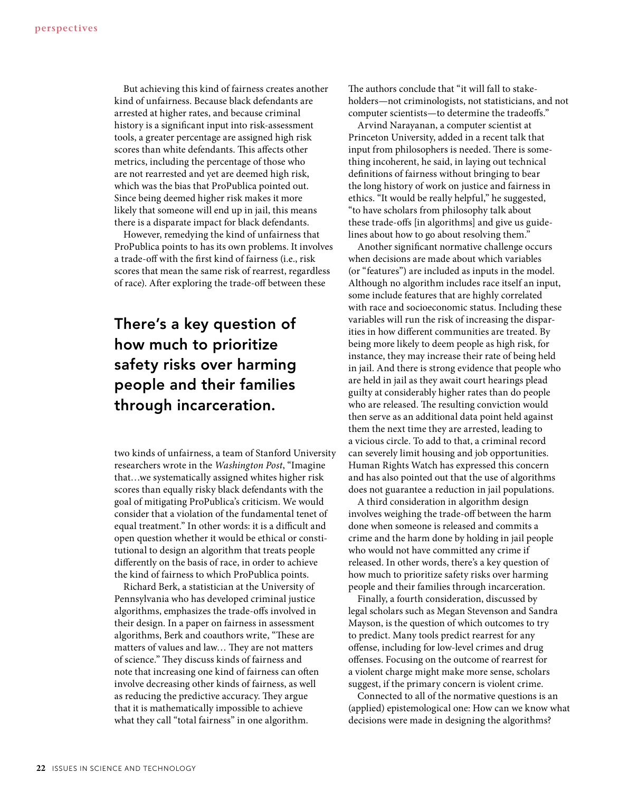But achieving this kind of fairness creates another kind of unfairness. Because black defendants are arrested at higher rates, and because criminal history is a signifcant input into risk-assessment tools, a greater percentage are assigned high risk scores than white defendants. This affects other metrics, including the percentage of those who are not rearrested and yet are deemed high risk, which was the bias that ProPublica pointed out. Since being deemed higher risk makes it more likely that someone will end up in jail, this means there is a disparate impact for black defendants.

However, remedying the kind of unfairness that ProPublica points to has its own problems. It involves a trade-off with the first kind of fairness (i.e., risk scores that mean the same risk of rearrest, regardless of race). Afer exploring the trade-of between these

### **There's a key question of how much to prioritize safety risks over harming people and their families through incarceration.**

two kinds of unfairness, a team of Stanford University researchers wrote in the *Washington Post*, "Imagine that…we systematically assigned whites higher risk scores than equally risky black defendants with the goal of mitigating ProPublica's criticism. We would consider that a violation of the fundamental tenet of equal treatment." In other words: it is a difficult and open question whether it would be ethical or constitutional to design an algorithm that treats people diferently on the basis of race, in order to achieve the kind of fairness to which ProPublica points.

Richard Berk, a statistician at the University of Pennsylvania who has developed criminal justice algorithms, emphasizes the trade-ofs involved in their design. In a paper on fairness in assessment algorithms, Berk and coauthors write, "These are matters of values and law... They are not matters of science." They discuss kinds of fairness and note that increasing one kind of fairness can often involve decreasing other kinds of fairness, as well as reducing the predictive accuracy. They argue that it is mathematically impossible to achieve what they call "total fairness" in one algorithm.

The authors conclude that "it will fall to stakeholders—not criminologists, not statisticians, and not computer scientists—to determine the tradeofs."

Arvind Narayanan, a computer scientist at Princeton University, added in a recent talk that input from philosophers is needed. There is something incoherent, he said, in laying out technical defnitions of fairness without bringing to bear the long history of work on justice and fairness in ethics. "It would be really helpful," he suggested, "to have scholars from philosophy talk about these trade-ofs [in algorithms] and give us guidelines about how to go about resolving them."

Another signifcant normative challenge occurs when decisions are made about which variables (or "features") are included as inputs in the model. Although no algorithm includes race itself an input, some include features that are highly correlated with race and socioeconomic status. Including these variables will run the risk of increasing the disparities in how diferent communities are treated. By being more likely to deem people as high risk, for instance, they may increase their rate of being held in jail. And there is strong evidence that people who are held in jail as they await court hearings plead guilty at considerably higher rates than do people who are released. The resulting conviction would then serve as an additional data point held against them the next time they are arrested, leading to a vicious circle. To add to that, a criminal record can severely limit housing and job opportunities. Human Rights Watch has expressed this concern and has also pointed out that the use of algorithms does not guarantee a reduction in jail populations.

A third consideration in algorithm design involves weighing the trade-off between the harm done when someone is released and commits a crime and the harm done by holding in jail people who would not have committed any crime if released. In other words, there's a key question of how much to prioritize safety risks over harming people and their families through incarceration.

Finally, a fourth consideration, discussed by legal scholars such as Megan Stevenson and Sandra Mayson, is the question of which outcomes to try to predict. Many tools predict rearrest for any ofense, including for low-level crimes and drug ofenses. Focusing on the outcome of rearrest for a violent charge might make more sense, scholars suggest, if the primary concern is violent crime.

Connected to all of the normative questions is an (applied) epistemological one: How can we know what decisions were made in designing the algorithms?